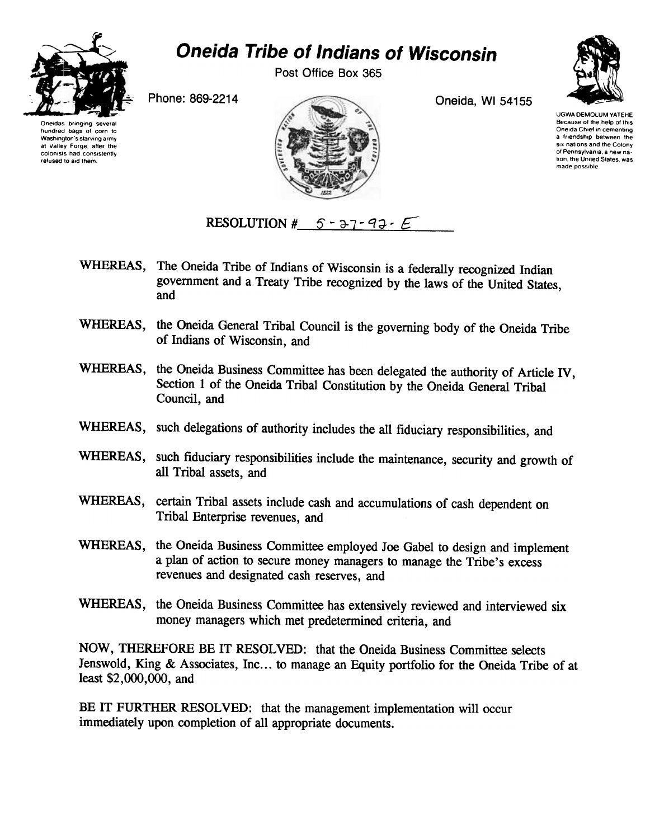

## Oneida Tribe of Indians of Wisconsin

Post Office Box 365



Oneidas bringing several hundred bags of corn fo Washington's starving army at Valley Forge. aher the colomsts had consistently refused to aid them





made possible

RESOLUTION #  $5 - 37 - 97 - 9$ 

- WHEREAS, The Oneida Tribe of Indians of Wisconsin is a federally recognized Indian government and a Treaty Tribe recognized by the laws of the United States, and
- WHEREAS, the Oneida General Tribal Council is the governing body of the Oneida Tribe of Indians of Wisconsin, and
- WHEREAS, the Oneida Business Committee has been delegated the authority of Article IV. Section 1 of the Oneida Tribal Constitution by the Oneida General Tribal Council, and
- WHEREAS, such delegations of authority includes the all fiduciary responsibilities, and
- WHEREAS, such fiduciary responsibilities include the maintenance, security and growth of all Tribal assets, and
- WHEREAS, certain Tribal assets include cash and accumulations of cash dependent on Tribal Enterprise revenues, and
- WHEREAS, the Oneida Business Committee employed Joe Gabel to design and implement a plan of action to secure money managers to manage the Tribe's excess revenues and designated cash reserves, and
- WHEREAS, the Oneida Business Committee has extensively reviewed and interviewed six money managers which met predetermined criteria, and

NOW, THEREFORE BE IT RESOLVED: that the Oneida Business Committee selects Jenswold, King & Associates, Inc... to manage an Equity portfolio for the Oneida Tribe of at least \$2,000,000, and

BE IT FURTHER RESOLVED: that the management implementation will occur immediately upon completion of all appropriate documents.